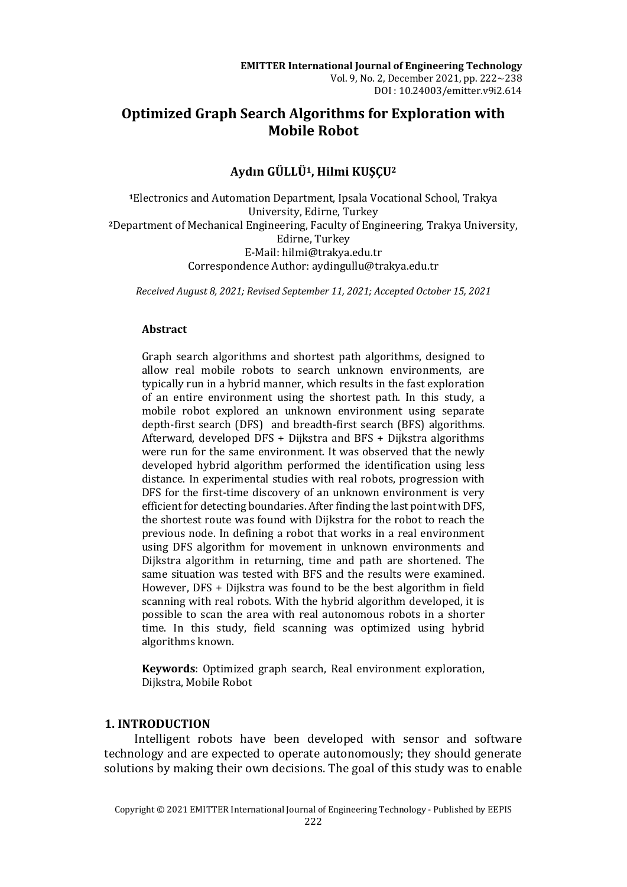# **Optimized Graph Search Algorithms for Exploration with Mobile Robot**

## **Aydın GÜLLÜ1, Hilmi KUŞÇU<sup>2</sup>**

**<sup>1</sup>**Electronics and Automation Department, Ipsala Vocational School, Trakya University, Edirne, Turkey **<sup>2</sup>**Department of Mechanical Engineering, Faculty of Engineering, Trakya University, Edirne, Turkey E-Mail: hilmi@trakya.edu.tr Correspondence Author: aydingullu@trakya.edu.tr

*Received August 8, 2021; Revised September 11, 2021; Accepted October 15, 2021*

## **Abstract**

Graph search algorithms and shortest path algorithms, designed to allow real mobile robots to search unknown environments, are typically run in a hybrid manner, which results in the fast exploration of an entire environment using the shortest path. In this study, a mobile robot explored an unknown environment using separate depth-first search (DFS) and breadth-first search (BFS) algorithms. Afterward, developed DFS + Dijkstra and BFS + Dijkstra algorithms were run for the same environment. It was observed that the newly developed hybrid algorithm performed the identification using less distance. In experimental studies with real robots, progression with DFS for the first-time discovery of an unknown environment is very efficient for detecting boundaries. After finding the last point with DFS, the shortest route was found with Dijkstra for the robot to reach the previous node. In defining a robot that works in a real environment using DFS algorithm for movement in unknown environments and Dijkstra algorithm in returning, time and path are shortened. The same situation was tested with BFS and the results were examined. However, DFS + Dijkstra was found to be the best algorithm in field scanning with real robots. With the hybrid algorithm developed, it is possible to scan the area with real autonomous robots in a shorter time. In this study, field scanning was optimized using hybrid algorithms known.

**Keywords**: Optimized graph search, Real environment exploration, Dijkstra, Mobile Robot

## **1. INTRODUCTION**

Intelligent robots have been developed with sensor and software technology and are expected to operate autonomously; they should generate solutions by making their own decisions. The goal of this study was to enable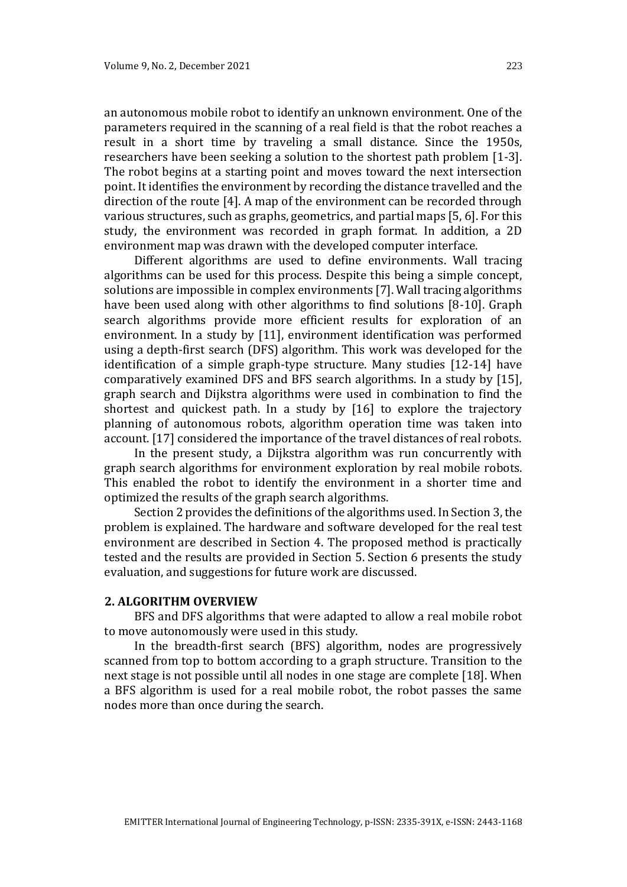an autonomous mobile robot to identify an unknown environment. One of the parameters required in the scanning of a real field is that the robot reaches a result in a short time by traveling a small distance. Since the 1950s, researchers have been seeking a solution to the shortest path problem [1-3]. The robot begins at a starting point and moves toward the next intersection point. It identifies the environment by recording the distance travelled and the direction of the route [4]. A map of the environment can be recorded through various structures, such as graphs, geometrics, and partial maps [5, 6]. For this study, the environment was recorded in graph format. In addition, a 2D environment map was drawn with the developed computer interface.

Different algorithms are used to define environments. Wall tracing algorithms can be used for this process. Despite this being a simple concept, solutions are impossible in complex environments [7]. Wall tracing algorithms have been used along with other algorithms to find solutions [8-10]. Graph search algorithms provide more efficient results for exploration of an environment. In a study by [11], environment identification was performed using a depth-first search (DFS) algorithm. This work was developed for the identification of a simple graph-type structure. Many studies [12-14] have comparatively examined DFS and BFS search algorithms. In a study by [15], graph search and Dijkstra algorithms were used in combination to find the shortest and quickest path. In a study by [16] to explore the trajectory planning of autonomous robots, algorithm operation time was taken into account. [17] considered the importance of the travel distances of real robots.

In the present study, a Dijkstra algorithm was run concurrently with graph search algorithms for environment exploration by real mobile robots. This enabled the robot to identify the environment in a shorter time and optimized the results of the graph search algorithms.

Section 2 provides the definitions of the algorithms used. In Section 3, the problem is explained. The hardware and software developed for the real test environment are described in Section 4. The proposed method is practically tested and the results are provided in Section 5. Section 6 presents the study evaluation, and suggestions for future work are discussed.

#### **2. ALGORITHM OVERVIEW**

BFS and DFS algorithms that were adapted to allow a real mobile robot to move autonomously were used in this study.

In the breadth-first search (BFS) algorithm, nodes are progressively scanned from top to bottom according to a graph structure. Transition to the next stage is not possible until all nodes in one stage are complete [18]. When a BFS algorithm is used for a real mobile robot, the robot passes the same nodes more than once during the search.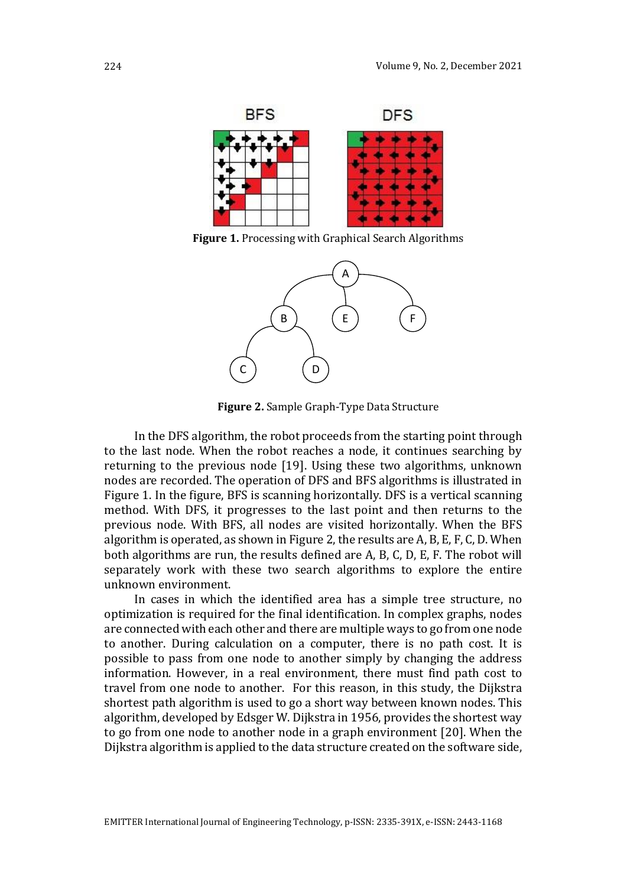

<span id="page-2-0"></span>**Figure 1.** Processing with Graphical Search Algorithms



**Figure 2.** Sample Graph-Type Data Structure

<span id="page-2-1"></span>In the DFS algorithm, the robot proceeds from the starting point through to the last node. When the robot reaches a node, it continues searching by returning to the previous node [19]. Using these two algorithms, unknown nodes are recorded. The operation of DFS and BFS algorithms is illustrated in [Figure 1.](#page-2-0) In the figure, BFS is scanning horizontally. DFS is a vertical scanning method. With DFS, it progresses to the last point and then returns to the previous node. With BFS, all nodes are visited horizontally. When the BFS algorithm is operated, as shown i[n Figure 2,](#page-2-1) the results are A, B, E, F, C, D. When both algorithms are run, the results defined are A, B, C, D, E, F. The robot will separately work with these two search algorithms to explore the entire unknown environment.

In cases in which the identified area has a simple tree structure, no optimization is required for the final identification. In complex graphs, nodes are connected with each other and there are multiple ways to go from one node to another. During calculation on a computer, there is no path cost. It is possible to pass from one node to another simply by changing the address information. However, in a real environment, there must find path cost to travel from one node to another. For this reason, in this study, the Dijkstra shortest path algorithm is used to go a short way between known nodes. This algorithm, developed by Edsger W. Dijkstra in 1956, provides the shortest way to go from one node to another node in a graph environment [20]. When the Dijkstra algorithm is applied to the data structure created on the software side,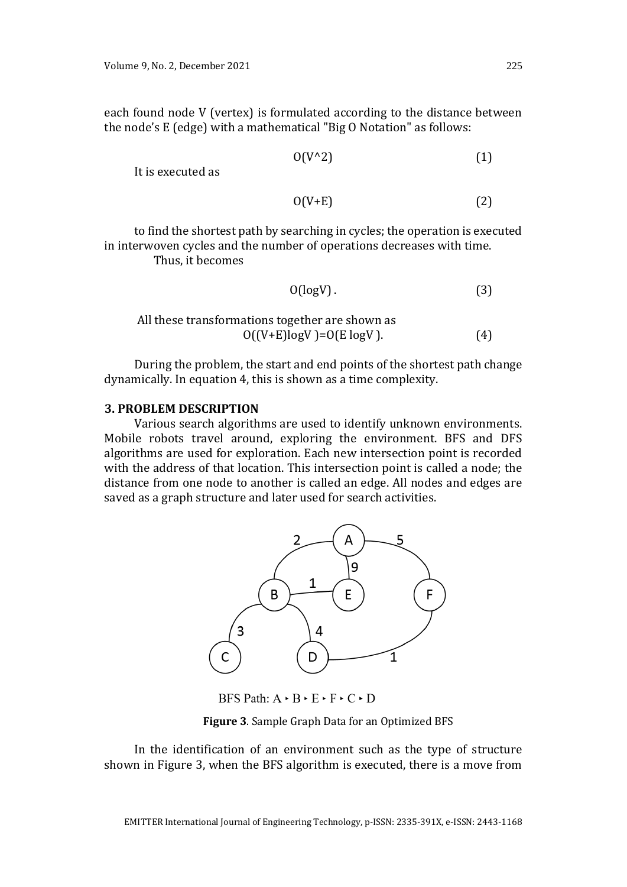each found node V (vertex) is formulated according to the distance between the node's E (edge) with a mathematical "Big O Notation" as follows:

$$
O(V^{\wedge}2) \tag{1}
$$

It is executed as

$$
O(V+E) \tag{2}
$$

to find the shortest path by searching in cycles; the operation is executed in interwoven cycles and the number of operations decreases with time. Thus, it becomes

$$
O(logV)
$$
 (3)

All these transformations together are shown as  
\n
$$
O((V+E)logV) = O(E logV)
$$
. (4)

During the problem, the start and end points of the shortest path change dynamically. In equation 4, this is shown as a time complexity.

## **3. PROBLEM DESCRIPTION**

Various search algorithms are used to identify unknown environments. Mobile robots travel around, exploring the environment. BFS and DFS algorithms are used for exploration. Each new intersection point is recorded with the address of that location. This intersection point is called a node; the distance from one node to another is called an edge. All nodes and edges are saved as a graph structure and later used for search activities.



BFS Path:  $A \cdot B \cdot E \cdot F \cdot C \cdot D$ 

**Figure 3**. Sample Graph Data for an Optimized BFS

<span id="page-3-0"></span>In the identification of an environment such as the type of structure shown in [Figure 3,](#page-3-0) when the BFS algorithm is executed, there is a move from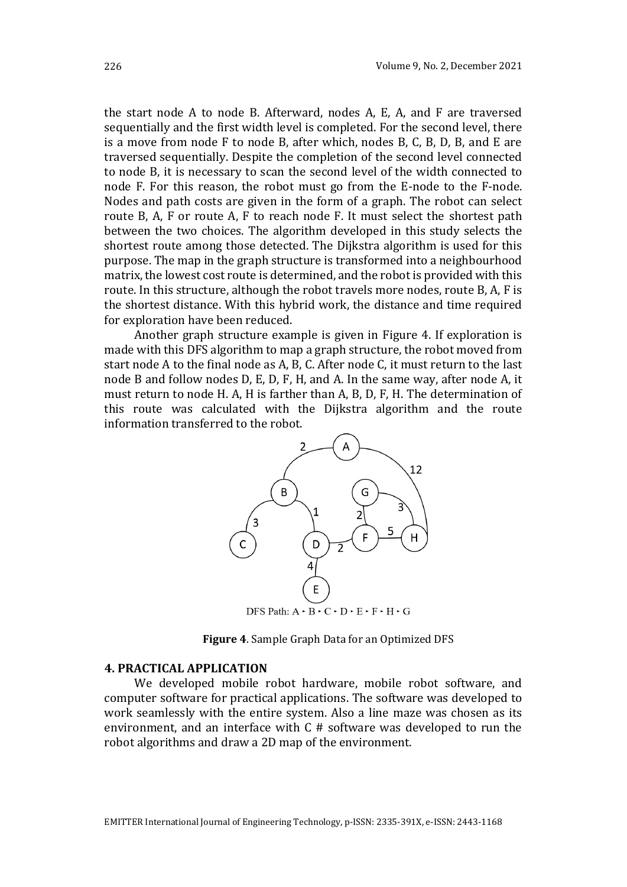the start node A to node B. Afterward, nodes A, E, A, and F are traversed sequentially and the first width level is completed. For the second level, there is a move from node F to node B, after which, nodes B, C, B, D, B, and E are traversed sequentially. Despite the completion of the second level connected to node B, it is necessary to scan the second level of the width connected to node F. For this reason, the robot must go from the E-node to the F-node. Nodes and path costs are given in the form of a graph. The robot can select route B, A, F or route A, F to reach node F. It must select the shortest path between the two choices. The algorithm developed in this study selects the shortest route among those detected. The Dijkstra algorithm is used for this purpose. The map in the graph structure is transformed into a neighbourhood matrix, the lowest cost route is determined, and the robot is provided with this route. In this structure, although the robot travels more nodes, route B, A, F is the shortest distance. With this hybrid work, the distance and time required for exploration have been reduced.

Another graph structure example is given in [Figure 4.](#page-4-0) If exploration is made with this DFS algorithm to map a graph structure, the robot moved from start node A to the final node as A, B, C. After node C, it must return to the last node B and follow nodes D, E, D, F, H, and A. In the same way, after node A, it must return to node H. A, H is farther than A, B, D, F, H. The determination of this route was calculated with the Dijkstra algorithm and the route information transferred to the robot.



**Figure 4**. Sample Graph Data for an Optimized DFS

#### <span id="page-4-0"></span>**4. PRACTICAL APPLICATION**

We developed mobile robot hardware, mobile robot software, and computer software for practical applications. The software was developed to work seamlessly with the entire system. Also a line maze was chosen as its environment, and an interface with  $C \#$  software was developed to run the robot algorithms and draw a 2D map of the environment.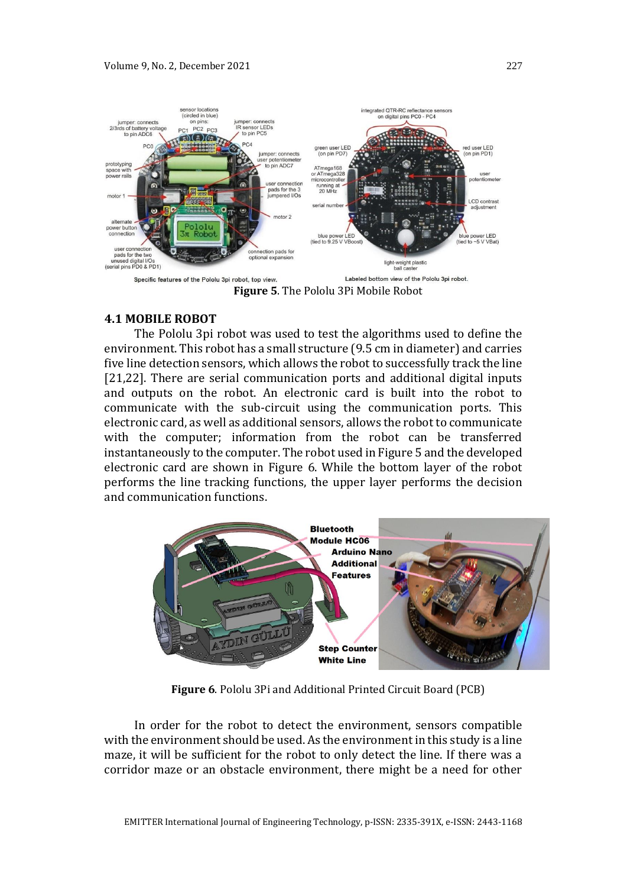

**Figure 5**. The Pololu 3Pi Mobile Robot

### <span id="page-5-0"></span>**4.1 MOBILE ROBOT**

The Pololu 3pi robot was used to test the algorithms used to define the environment. This robot has a small structure (9.5 cm in diameter) and carries five line detection sensors, which allows the robot to successfully track the line [21,22]. There are serial communication ports and additional digital inputs and outputs on the robot. An electronic card is built into the robot to communicate with the sub-circuit using the communication ports. This electronic card, as well as additional sensors, allows the robot to communicate with the computer; information from the robot can be transferred instantaneously to the computer. The robot used in [Figure 5](#page-5-0) and the developed electronic card are shown in [Figure 6.](#page-5-1) While the bottom layer of the robot performs the line tracking functions, the upper layer performs the decision and communication functions.



**Figure 6**. Pololu 3Pi and Additional Printed Circuit Board (PCB)

<span id="page-5-1"></span>In order for the robot to detect the environment, sensors compatible with the environment should be used. As the environment in this study is a line maze, it will be sufficient for the robot to only detect the line. If there was a corridor maze or an obstacle environment, there might be a need for other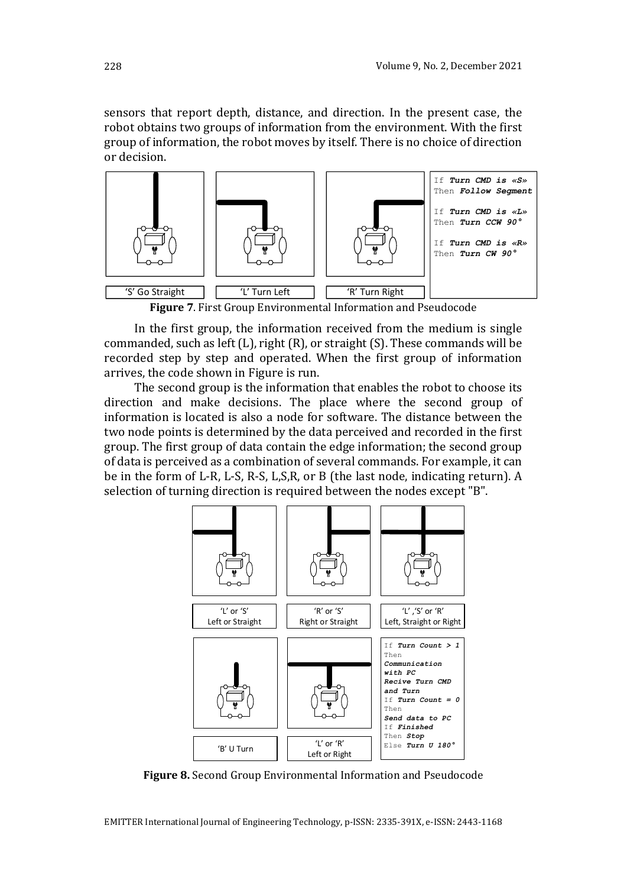sensors that report depth, distance, and direction. In the present case, the robot obtains two groups of information from the environment. With the first group of information, the robot moves by itself. There is no choice of direction or decision.



<span id="page-6-0"></span>**Figure 7**. First Group Environmental Information and Pseudocode

In the first group, the information received from the medium is single commanded, such as left (L), right (R), or straight (S). These commands will be recorded step by step and operated. When the first group of information arrives, the code shown in [Figure](#page-6-0) is run.

The second group is the information that enables the robot to choose its direction and make decisions. The place where the second group of information is located is also a node for software. The distance between the two node points is determined by the data perceived and recorded in the first group. The first group of data contain the edge information; the second group of data is perceived as a combination of several commands. For example, it can be in the form of L-R, L-S, R-S, L,S,R, or B (the last node, indicating return). A selection of turning direction is required between the nodes except "B".



<span id="page-6-1"></span>**Figure 8.** Second Group Environmental Information and Pseudocode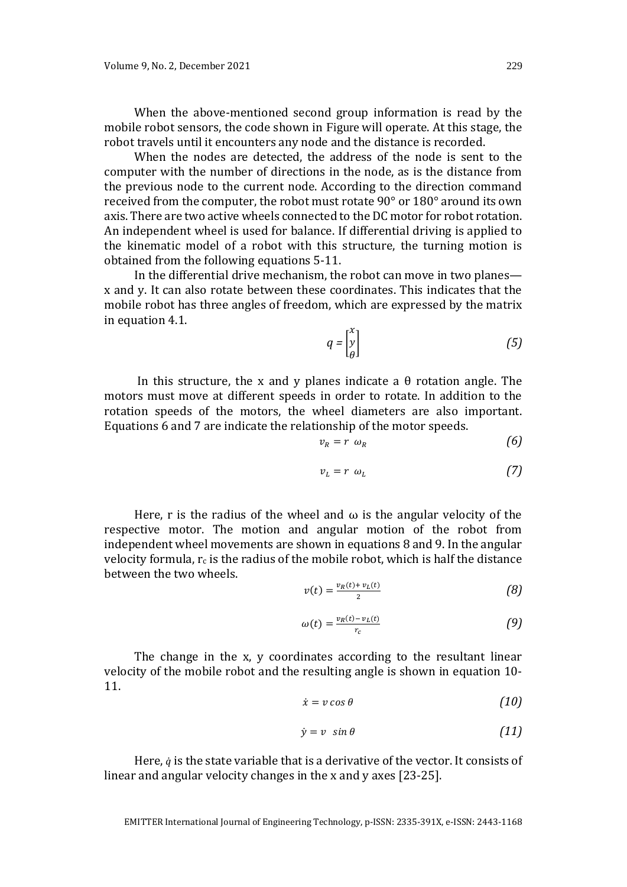When the above-mentioned second group information is read by the mobile robot sensors, the code shown in [Figure](#page-6-1) will operate. At this stage, the robot travels until it encounters any node and the distance is recorded.

When the nodes are detected, the address of the node is sent to the computer with the number of directions in the node, as is the distance from the previous node to the current node. According to the direction command received from the computer, the robot must rotate 90° or 180° around its own axis. There are two active wheels connected to the DC motor for robot rotation. An independent wheel is used for balance. If differential driving is applied to the kinematic model of a robot with this structure, the turning motion is obtained from the following equations 5-11.

In the differential drive mechanism, the robot can move in two planes x and y. It can also rotate between these coordinates. This indicates that the mobile robot has three angles of freedom, which are expressed by the matrix in equation 4.1.

$$
q = \begin{bmatrix} x \\ y \\ \theta \end{bmatrix} \tag{5}
$$

In this structure, the x and y planes indicate a θ rotation angle. The motors must move at different speeds in order to rotate. In addition to the rotation speeds of the motors, the wheel diameters are also important. Equations 6 and 7 are indicate the relationship of the motor speeds.

$$
v_R = r \omega_R \tag{6}
$$

$$
v_L = r \omega_L \tag{7}
$$

Here, r is the radius of the wheel and  $\omega$  is the angular velocity of the respective motor. The motion and angular motion of the robot from independent wheel movements are shown in equations 8 and 9. In the angular velocity formula,  $r_c$  is the radius of the mobile robot, which is half the distance between the two wheels.

$$
v(t) = \frac{v_R(t) + v_L(t)}{2} \tag{8}
$$

$$
\omega(t) = \frac{v_R(t) - v_L(t)}{r_c} \tag{9}
$$

The change in the x, y coordinates according to the resultant linear velocity of the mobile robot and the resulting angle is shown in equation 10- 11.

$$
\dot{x} = v \cos \theta \tag{10}
$$

$$
\dot{y} = v \sin \theta \tag{11}
$$

Here,  $\dot{q}$  is the state variable that is a derivative of the vector. It consists of linear and angular velocity changes in the x and y axes [23-25].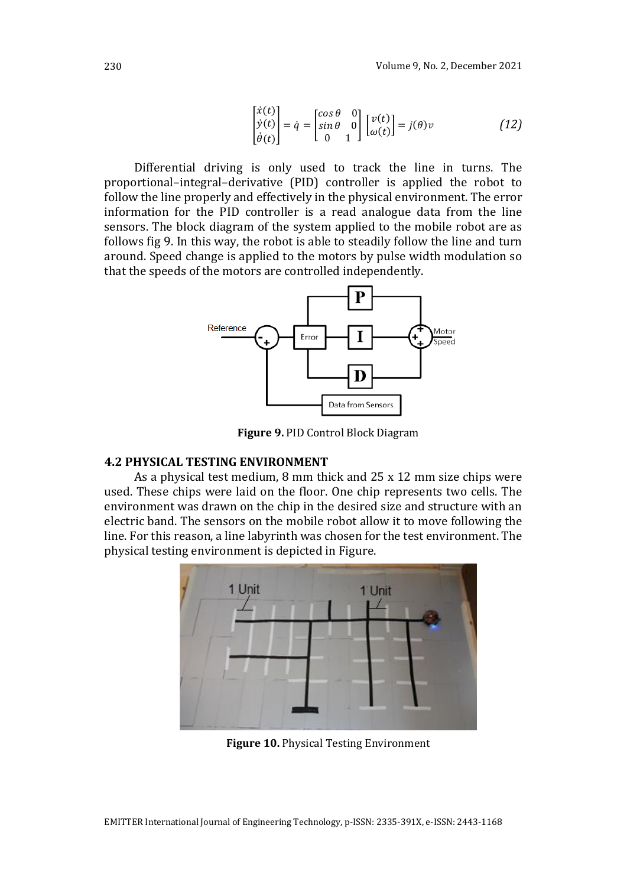$$
\begin{bmatrix} \dot{x}(t) \\ \dot{y}(t) \\ \dot{\theta}(t) \end{bmatrix} = \dot{q} = \begin{bmatrix} \cos \theta & 0 \\ \sin \theta & 0 \\ 0 & 1 \end{bmatrix} \begin{bmatrix} v(t) \\ \omega(t) \end{bmatrix} = j(\theta)v \tag{12}
$$

Differential driving is only used to track the line in turns. The proportional–integral–derivative (PID) controller is applied the robot to follow the line properly and effectively in the physical environment. The error information for the PID controller is a read analogue data from the line sensors. The block diagram of the system applied to the mobile robot are as follows [fig 9.](#page-8-0) In this way, the robot is able to steadily follow the line and turn around. Speed change is applied to the motors by pulse width modulation so that the speeds of the motors are controlled independently.



**Figure 9.** PID Control Block Diagram

#### <span id="page-8-0"></span>**4.2 PHYSICAL TESTING ENVIRONMENT**

As a physical test medium, 8 mm thick and 25 x 12 mm size chips were used. These chips were laid on the floor. One chip represents two cells. The environment was drawn on the chip in the desired size and structure with an electric band. The sensors on the mobile robot allow it to move following the line. For this reason, a line labyrinth was chosen for the test environment. The physical testing environment is depicted in [Figure.](#page-8-1)

<span id="page-8-1"></span>

**Figure 10.** Physical Testing Environment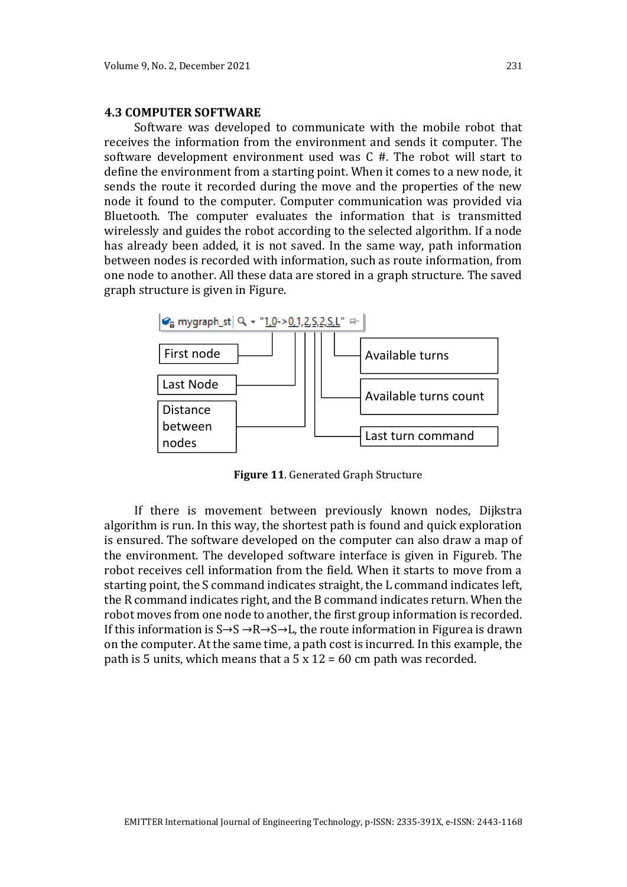#### **4.3 COMPUTER SOFTWARE**

Software was developed to communicate with the mobile robot that receives the information from the environment and sends it computer. The software development environment used was C #. The robot will start to define the environment from a starting point. When it comes to a new node, it sends the route it recorded during the move and the properties of the new node it found to the computer. Computer communication was provided via Bluetooth. The computer evaluates the information that is transmitted wirelessly and guides the robot according to the selected algorithm. If a node has already been added, it is not saved. In the same way, path information between nodes is recorded with information, such as route information, from one node to another. All these data are stored in a graph structure. The saved graph structure is given in [Figure.](#page-9-0)



**Figure 11**. Generated Graph Structure

<span id="page-9-0"></span>If there is movement between previously known nodes, Dijkstra algorithm is run. In this way, the shortest path is found and quick exploration is ensured. The software developed on the computer can also draw a map of the environment. The developed software interface is given in [Figureb](#page-10-0). The robot receives cell information from the field. When it starts to move from a starting point, the S command indicates straight, the L command indicates left, the R command indicates right, and the B command indicates return. When the robot moves from one node to another, the first group information is recorded. If this information is  $S \rightarrow S \rightarrow R \rightarrow S \rightarrow L$ , the route information in [Figurea](#page-10-0) is drawn on the computer. At the same time, a path cost is incurred. In this example, the path is 5 units, which means that a 5 x  $12 = 60$  cm path was recorded.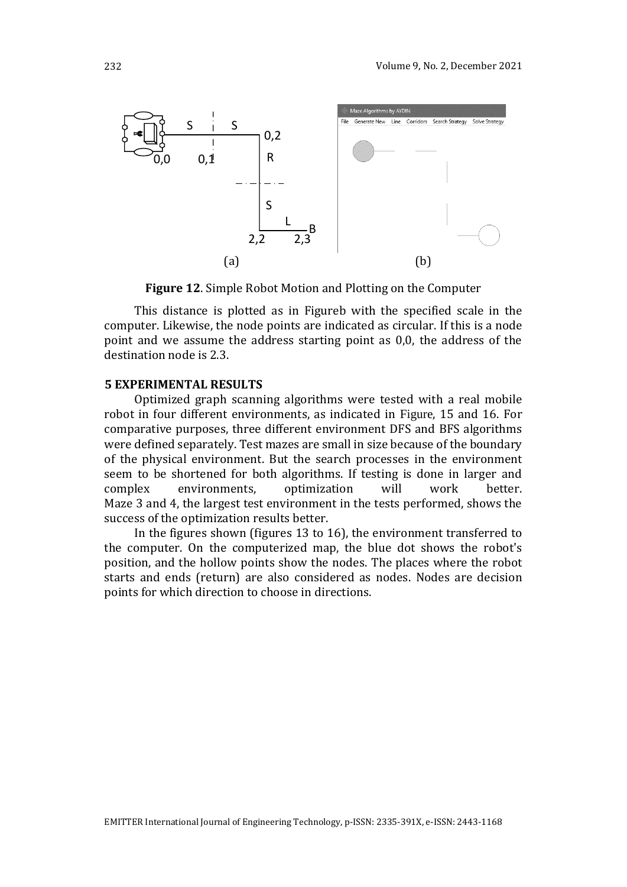

**Figure 12**. Simple Robot Motion and Plotting on the Computer

<span id="page-10-0"></span>This distance is plotted as in [Figureb](#page-10-0) with the specified scale in the computer. Likewise, the node points are indicated as circular. If this is a node point and we assume the address starting point as 0,0, the address of the destination node is 2.3.

#### **5 EXPERIMENTAL RESULTS**

Optimized graph scanning algorithms were tested with a real mobile robot in four different environments, as indicated in [Figure](#page-11-0), [15](#page-11-1) and [16.](#page-12-0) For comparative purposes, three different environment DFS and BFS algorithms were defined separately. Test mazes are small in size because of the boundary of the physical environment. But the search processes in the environment seem to be shortened for both algorithms. If testing is done in larger and complex environments, optimization will work better. Maze 3 and 4, the largest test environment in the tests performed, shows the success of the optimization results better.

In the figures shown (figures 13 to 16), the environment transferred to the computer. On the computerized map, the blue dot shows the robot's position, and the hollow points show the nodes. The places where the robot starts and ends (return) are also considered as nodes. Nodes are decision points for which direction to choose in directions.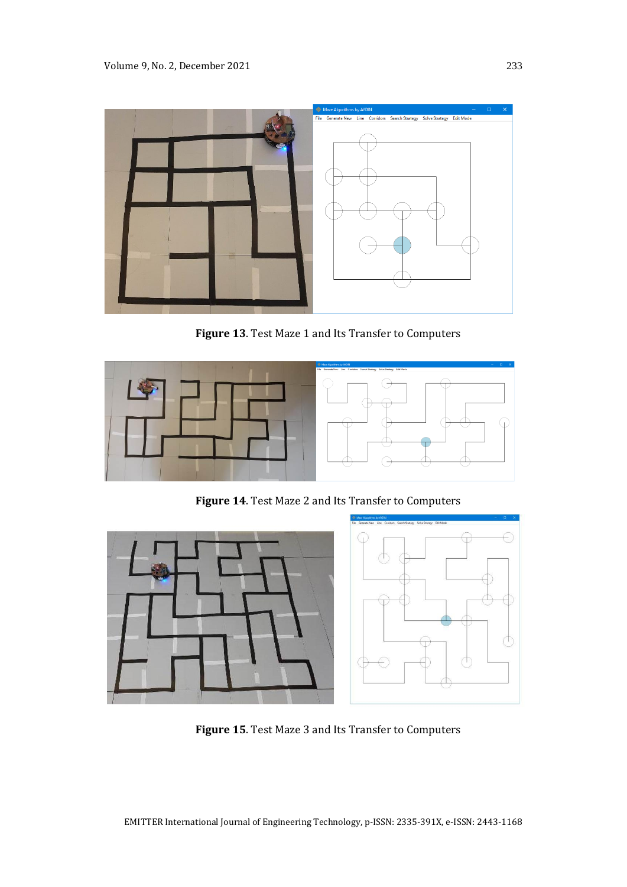

**Figure 13**. Test Maze 1 and Its Transfer to Computers

<span id="page-11-0"></span>

**Figure 14**. Test Maze 2 and Its Transfer to Computers



<span id="page-11-1"></span>**Figure 15**. Test Maze 3 and Its Transfer to Computers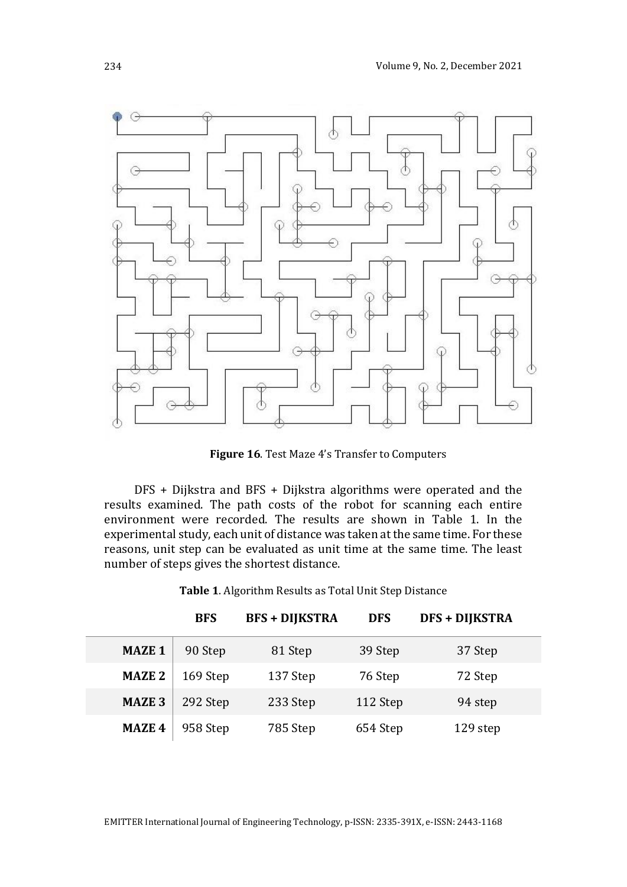

**Figure 16**. Test Maze 4's Transfer to Computers

<span id="page-12-0"></span>DFS + Dijkstra and BFS + Dijkstra algorithms were operated and the results examined. The path costs of the robot for scanning each entire environment were recorded. The results are shown in [Table 1.](#page-12-1) In the experimental study, each unit of distance was taken at the same time. For these reasons, unit step can be evaluated as unit time at the same time. The least number of steps gives the shortest distance.

**Table 1**. Algorithm Results as Total Unit Step Distance

<span id="page-12-1"></span>

|               | <b>BFS</b> | <b>BFS + DIJKSTRA</b> | <b>DFS</b> | <b>DFS + DIJKSTRA</b> |  |
|---------------|------------|-----------------------|------------|-----------------------|--|
| <b>MAZE 1</b> | 90 Step    | 81 Step               | 39 Step    | 37 Step               |  |
| <b>MAZE 2</b> | 169 Step   | 137 Step              | 76 Step    | 72 Step               |  |
| <b>MAZE 3</b> | 292 Step   | 233 Step              | 112 Step   | 94 step               |  |
| <b>MAZE 4</b> | 958 Step   | 785 Step              | 654 Step   | 129 step              |  |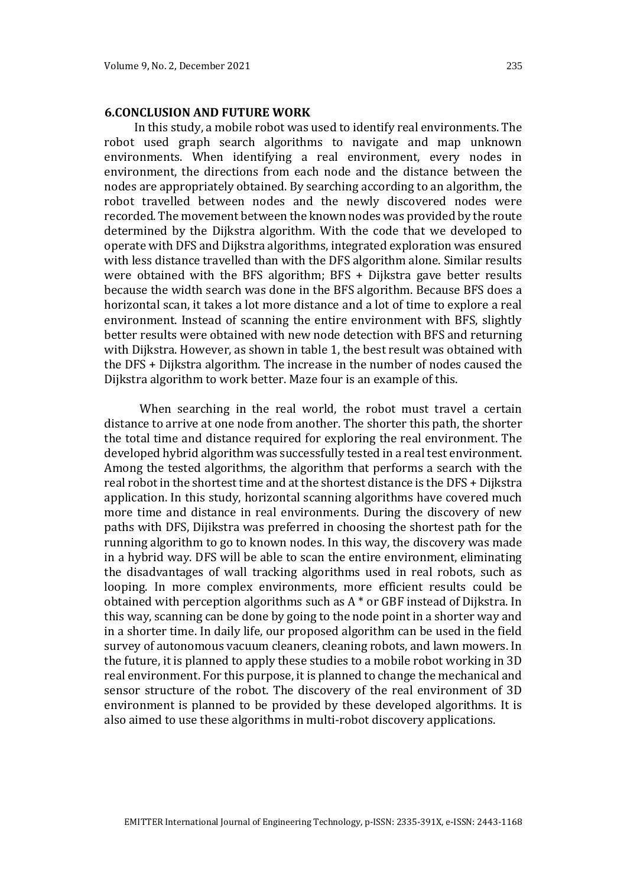#### **6.CONCLUSION AND FUTURE WORK**

In this study, a mobile robot was used to identify real environments. The robot used graph search algorithms to navigate and map unknown environments. When identifying a real environment, every nodes in environment, the directions from each node and the distance between the nodes are appropriately obtained. By searching according to an algorithm, the robot travelled between nodes and the newly discovered nodes were recorded. The movement between the known nodes was provided by the route determined by the Dijkstra algorithm. With the code that we developed to operate with DFS and Dijkstra algorithms, integrated exploration was ensured with less distance travelled than with the DFS algorithm alone. Similar results were obtained with the BFS algorithm; BFS + Dijkstra gave better results because the width search was done in the BFS algorithm. Because BFS does a horizontal scan, it takes a lot more distance and a lot of time to explore a real environment. Instead of scanning the entire environment with BFS, slightly better results were obtained with new node detection with BFS and returning with Dijkstra. However, as shown in table 1, the best result was obtained with the DFS + Dijkstra algorithm. The increase in the number of nodes caused the Dijkstra algorithm to work better. Maze four is an example of this.

 When searching in the real world, the robot must travel a certain distance to arrive at one node from another. The shorter this path, the shorter the total time and distance required for exploring the real environment. The developed hybrid algorithm was successfully tested in a real test environment. Among the tested algorithms, the algorithm that performs a search with the real robot in the shortest time and at the shortest distance is the DFS + Dijkstra application. In this study, horizontal scanning algorithms have covered much more time and distance in real environments. During the discovery of new paths with DFS, Dijikstra was preferred in choosing the shortest path for the running algorithm to go to known nodes. In this way, the discovery was made in a hybrid way. DFS will be able to scan the entire environment, eliminating the disadvantages of wall tracking algorithms used in real robots, such as looping. In more complex environments, more efficient results could be obtained with perception algorithms such as A \* or GBF instead of Dijkstra. In this way, scanning can be done by going to the node point in a shorter way and in a shorter time. In daily life, our proposed algorithm can be used in the field survey of autonomous vacuum cleaners, cleaning robots, and lawn mowers. In the future, it is planned to apply these studies to a mobile robot working in 3D real environment. For this purpose, it is planned to change the mechanical and sensor structure of the robot. The discovery of the real environment of 3D environment is planned to be provided by these developed algorithms. It is also aimed to use these algorithms in multi-robot discovery applications.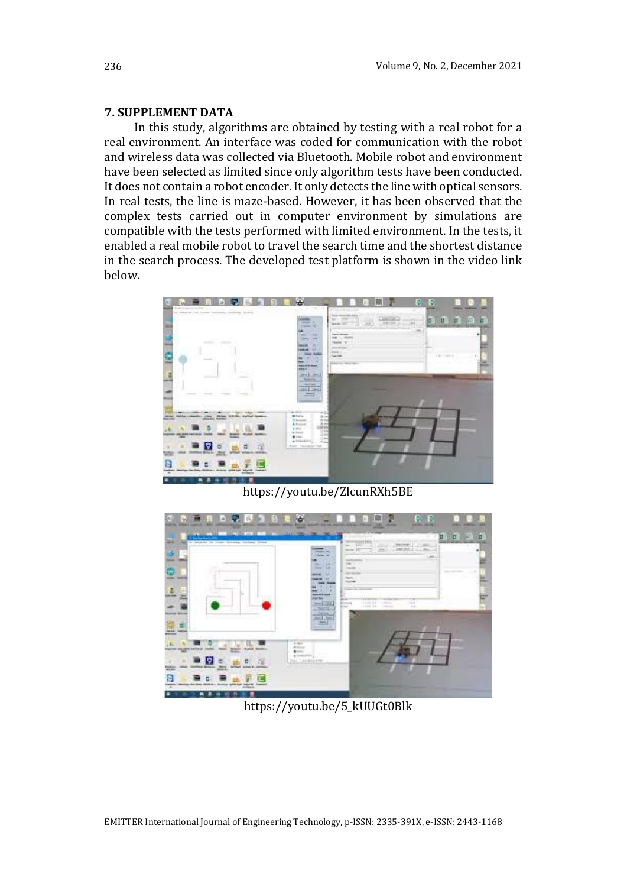### **7. SUPPLEMENT DATA**

In this study, algorithms are obtained by testing with a real robot for a real environment. An interface was coded for communication with the robot and wireless data was collected via Bluetooth. Mobile robot and environment have been selected as limited since only algorithm tests have been conducted. It does not contain a robot encoder. It only detects the line with optical sensors. In real tests, the line is maze-based. However, it has been observed that the complex tests carried out in computer environment by simulations are compatible with the tests performed with limited environment. In the tests, it enabled a real mobile robot to travel the search time and the shortest distance in the search process. The developed test platform is shown in the video link below.



https://youtu.be/ZlcunRXh5BE



https://youtu.be/5\_kUUGt0Blk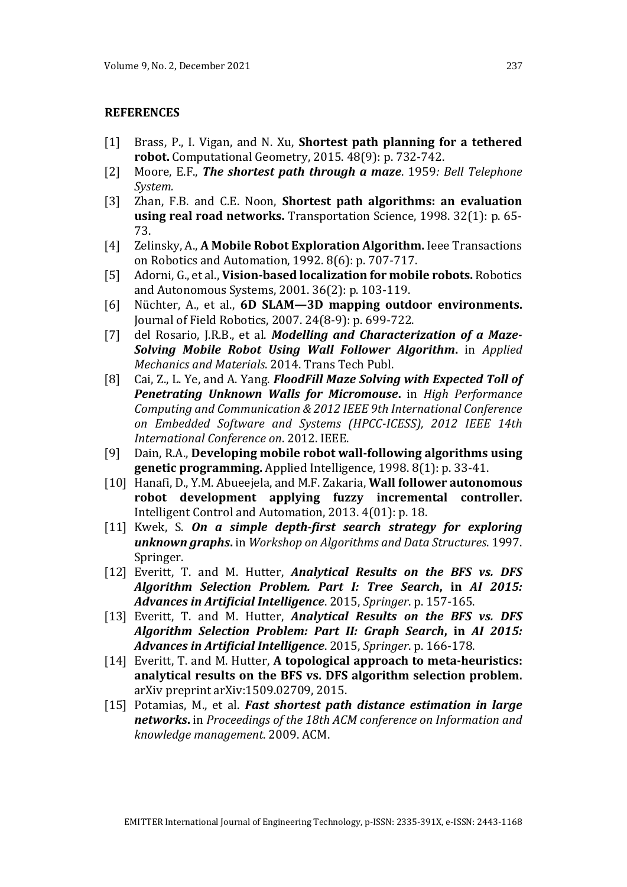#### **REFERENCES**

- [1] Brass, P., I. Vigan, and N. Xu, **Shortest path planning for a tethered robot.** Computational Geometry, 2015. 48(9): p. 732-742.
- [2] Moore, E.F., *The shortest path through a maze*. 1959*: Bell Telephone System.*
- [3] Zhan, F.B. and C.E. Noon, **Shortest path algorithms: an evaluation using real road networks.** Transportation Science, 1998. 32(1): p. 65- 73.
- [4] Zelinsky, A., **A Mobile Robot Exploration Algorithm.** Ieee Transactions on Robotics and Automation, 1992. 8(6): p. 707-717.
- [5] Adorni, G., et al., **Vision-based localization for mobile robots.** Robotics and Autonomous Systems, 2001. 36(2): p. 103-119.
- [6] Nüchter, A., et al., **6D SLAM—3D mapping outdoor environments.** Journal of Field Robotics, 2007. 24(8‐9): p. 699-722.
- [7] del Rosario, J.R.B., et al. *Modelling and Characterization of a Maze-Solving Mobile Robot Using Wall Follower Algorithm***.** in *Applied Mechanics and Materials*. 2014. Trans Tech Publ.
- [8] Cai, Z., L. Ye, and A. Yang. *FloodFill Maze Solving with Expected Toll of Penetrating Unknown Walls for Micromouse***.** in *High Performance Computing and Communication & 2012 IEEE 9th International Conference on Embedded Software and Systems (HPCC-ICESS), 2012 IEEE 14th International Conference on*. 2012. IEEE.
- [9] Dain, R.A., **Developing mobile robot wall-following algorithms using genetic programming.** Applied Intelligence, 1998. 8(1): p. 33-41.
- [10] Hanafi, D., Y.M. Abueejela, and M.F. Zakaria, **Wall follower autonomous robot development applying fuzzy incremental controller.** Intelligent Control and Automation, 2013. 4(01): p. 18.
- [11] Kwek, S. On a simple depth-first search strategy for exploring *unknown graphs***.** in *Workshop on Algorithms and Data Structures*. 1997. Springer.
- [12] Everitt, T. and M. Hutter, *Analytical Results on the BFS vs. DFS Algorithm Selection Problem. Part I: Tree Search***, in** *AI 2015: Advances in Artificial Intelligence*. 2015, *Springer*. p. 157-165.
- [13] Everitt, T. and M. Hutter, *Analytical Results on the BFS vs. DFS Algorithm Selection Problem: Part II: Graph Search***, in** *AI 2015: Advances in Artificial Intelligence*. 2015, *Springer*. p. 166-178.
- [14] Everitt, T. and M. Hutter, **A topological approach to meta-heuristics: analytical results on the BFS vs. DFS algorithm selection problem.** arXiv preprint arXiv:1509.02709, 2015.
- [15] Potamias, M., et al. *Fast shortest path distance estimation in large networks***.** in *Proceedings of the 18th ACM conference on Information and knowledge management*. 2009. ACM.